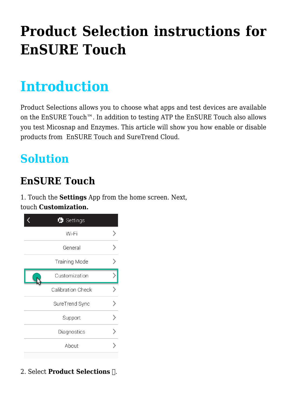# **[Product Selection instructions for](https://help.hygiena.com/kb-doc/product-selection-instructions-for-ensure-touch/) [EnSURE Touch](https://help.hygiena.com/kb-doc/product-selection-instructions-for-ensure-touch/)**

## **Introduction**

Product Selections allows you to choose what apps and test devices are available on the EnSURE Touch™. In addition to testing ATP the EnSURE Touch also allows you test Micosnap and Enzymes. This article will show you how enable or disable products from EnSURE Touch and SureTrend Cloud.

## **Solution**

### **EnSURE Touch**

1. Touch the **Settings** App from the home screen. Next, touch **Customization.**

| Settings                 |  |
|--------------------------|--|
| Wi-Fi                    |  |
| General                  |  |
| <b>Training Mode</b>     |  |
| Customization            |  |
| <b>Calibration Check</b> |  |
| SureTrend Sync           |  |
| Support                  |  |
| Diagnostics              |  |
| About                    |  |
|                          |  |

#### 2. Select **Product Selections ①**.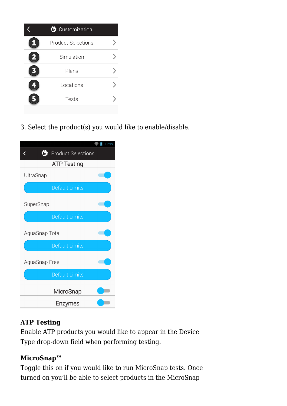

3. Select the product(s) you would like to enable/disable.



#### **ATP Testing**

Enable ATP products you would like to appear in the Device Type drop-down field when performing testing.

#### **MicroSnap™**

Toggle this on if you would like to run MicroSnap tests. Once turned on you'll be able to select products in the MicroSnap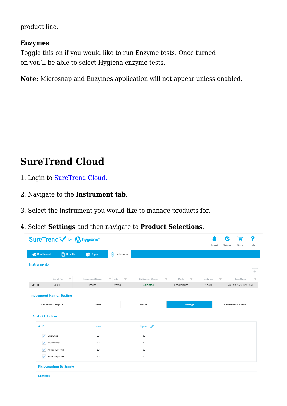product line.

#### **Enzymes**

Toggle this on if you would like to run Enzyme tests. Once turned on you'll be able to select Hygiena enzyme tests.

**Note:** Microsnap and Enzymes application will not appear unless enabled.

### **SureTrend Cloud**

- 1. Login to [SureTrend Cloud.](https://suretrend.hygiena.com/#!/)
- 2. Navigate to the **Instrument tab**.
- 3. Select the instrument you would like to manage products for.
- 4. Select **Settings** and then navigate to **Product Selections**.

|                                                  |                                  | SureTrend v by Mysiena |                                                          |                         |                 |                                     | L                         | 畠<br>Store           | ?<br>Help |
|--------------------------------------------------|----------------------------------|------------------------|----------------------------------------------------------|-------------------------|-----------------|-------------------------------------|---------------------------|----------------------|-----------|
| <b>A</b> Dashboard                               | $\boxed{)}$ Results              | Reports                | E<br>Instrument                                          |                         |                 | Logout                              | Settings                  |                      |           |
| <b>Instruments</b>                               |                                  |                        |                                                          |                         |                 |                                     |                           |                      |           |
|                                                  |                                  |                        |                                                          |                         |                 |                                     |                           |                      |           |
|                                                  | $\overline{\nabla}$<br>Serial No | Instrument Name        | $\overline{\phantom{a}}$<br>$\overline{\mathbf{v}}$ Site | T.<br>Calibration Check | v<br>Model      | $\overline{\mathbf{x}}$<br>Software |                           | Last Sync            |           |
| ╱┋                                               | 38019                            | Testing                | testing                                                  | Calibrated              | EnsureTouch     | 1.68.9                              |                           | 25-Sep-2020 10:47 AM |           |
|                                                  |                                  |                        |                                                          |                         |                 |                                     |                           |                      |           |
| Locations/Samples                                |                                  | Plans                  |                                                          | Users                   | <b>Settings</b> |                                     | <b>Calibration Checks</b> |                      |           |
|                                                  |                                  |                        |                                                          |                         |                 |                                     |                           |                      |           |
| <b>ATP</b>                                       |                                  | Lower                  |                                                          | Í<br><b>Upper</b>       |                 |                                     |                           |                      |           |
| ✓<br>UltraSnap                                   |                                  | 20                     |                                                          | 60                      |                 |                                     |                           |                      |           |
| SuperSnap<br>$\checkmark$                        |                                  | 20                     |                                                          | 60                      |                 |                                     |                           |                      |           |
| <b>Product Selections</b><br>✓<br>AquaSnap Total |                                  | 20                     |                                                          | 60                      |                 |                                     |                           |                      |           |
| AquaSnap Free<br>$\overline{\mathsf{v}}$         |                                  | 20                     |                                                          | 60                      |                 |                                     |                           |                      |           |
| <b>Microorganisms By Sample</b>                  |                                  |                        |                                                          |                         |                 |                                     |                           |                      |           |